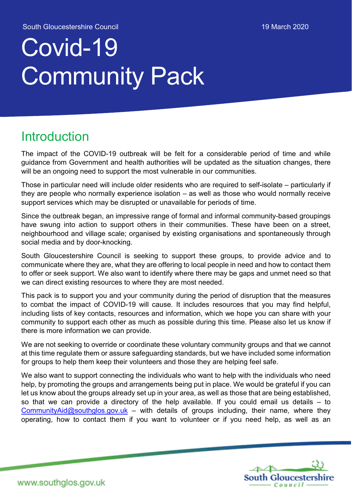# Covid-19 Community Pack

#### **Introduction**

The impact of the COVID-19 outbreak will be felt for a considerable period of time and while guidance from Government and health authorities will be updated as the situation changes, there will be an ongoing need to support the most vulnerable in our communities.

Those in particular need will include older residents who are required to self-isolate – particularly if they are people who normally experience isolation – as well as those who would normally receive support services which may be disrupted or unavailable for periods of time.

Since the outbreak began, an impressive range of formal and informal community-based groupings have swung into action to support others in their communities. These have been on a street, neighbourhood and village scale; organised by existing organisations and spontaneously through social media and by door-knocking.

South Gloucestershire Council is seeking to support these groups, to provide advice and to communicate where they are, what they are offering to local people in need and how to contact them to offer or seek support. We also want to identify where there may be gaps and unmet need so that we can direct existing resources to where they are most needed.

This pack is to support you and your community during the period of disruption that the measures to combat the impact of COVID-19 will cause. It includes resources that you may find helpful, including lists of key contacts, resources and information, which we hope you can share with your community to support each other as much as possible during this time. Please also let us know if there is more information we can provide.

We are not seeking to override or coordinate these voluntary community groups and that we cannot at this time regulate them or assure safeguarding standards, but we have included some information for groups to help them keep their volunteers and those they are helping feel safe.

We also want to support connecting the individuals who want to help with the individuals who need help, by promoting the groups and arrangements being put in place. We would be grateful if you can let us know about the groups already set up in your area, as well as those that are being established, so that we can provide a directory of the help available. If you could email us details – to CommunityAid@southglos.gov.uk – with details of groups including, their name, where they operating, how to contact them if you want to volunteer or if you need help, as well as an

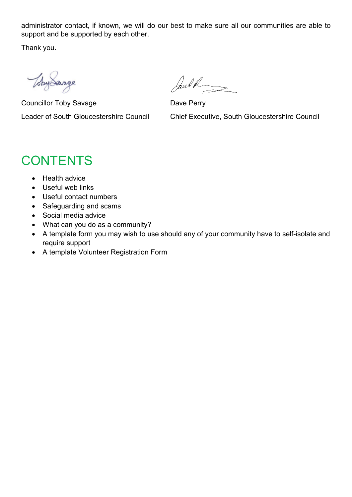administrator contact, if known, we will do our best to make sure all our communities are able to support and be supported by each other.

Thank you.

WhyLarge

Councillor Toby Savage Dave Perry

Jand R

Leader of South Gloucestershire Council Chief Executive, South Gloucestershire Council

### **CONTENTS**

- Health advice
- Useful web links
- Useful contact numbers
- Safeguarding and scams
- Social media advice
- What can you do as a community?
- A template form you may wish to use should any of your community have to self-isolate and require support
- A template Volunteer Registration Form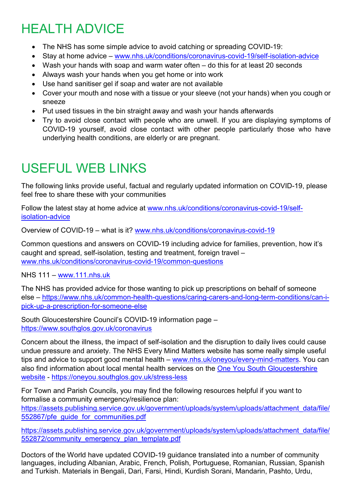# HEALTH ADVICE

- The NHS has some simple advice to avoid catching or spreading COVID-19:
- Stay at home advice www.nhs.uk/conditions/coronavirus-covid-19/self-isolation-advice
- Wash your hands with soap and warm water often do this for at least 20 seconds
- Always wash your hands when you get home or into work
- Use hand sanitiser gel if soap and water are not available
- Cover your mouth and nose with a tissue or your sleeve (not your hands) when you cough or sneeze
- Put used tissues in the bin straight away and wash your hands afterwards
- Try to avoid close contact with people who are unwell. If you are displaying symptoms of COVID-19 yourself, avoid close contact with other people particularly those who have underlying health conditions, are elderly or are pregnant.

### USEFUL WEB LINKS

The following links provide useful, factual and regularly updated information on COVID-19, please feel free to share these with your communities

Follow the latest stay at home advice at www.nhs.uk/conditions/coronavirus-covid-19/selfisolation-advice

Overview of COVID-19 – what is it? www.nhs.uk/conditions/coronavirus-covid-19

Common questions and answers on COVID-19 including advice for families, prevention, how it's caught and spread, self-isolation, testing and treatment, foreign travel – www.nhs.uk/conditions/coronavirus-covid-19/common-questions

NHS 111 – www.111.nhs.uk

The NHS has provided advice for those wanting to pick up prescriptions on behalf of someone else – https://www.nhs.uk/common-health-questions/caring-carers-and-long-term-conditions/can-ipick-up-a-prescription-for-someone-else

South Gloucestershire Council's COVID-19 information page – https://www.southglos.gov.uk/coronavirus

Concern about the illness, the impact of self-isolation and the disruption to daily lives could cause undue pressure and anxiety. The NHS Every Mind Matters website has some really simple useful tips and advice to support good mental health – www.nhs.uk/oneyou/every-mind-matters. You can also find information about local mental health services on the One You South Gloucestershire website - https://oneyou.southglos.gov.uk/stress-less

For Town and Parish Councils, you may find the following resources helpful if you want to formalise a community emergency/resilience plan: https://assets.publishing.service.gov.uk/government/uploads/system/uploads/attachment\_data/file/

552867/pfe\_quide\_for\_communities.pdf

https://assets.publishing.service.gov.uk/government/uploads/system/uploads/attachment\_data/file/ 552872/community\_emergency\_plan\_template.pdf

Doctors of the World have updated COVID-19 guidance translated into a number of community languages, including Albanian, Arabic, French, Polish, Portuguese, Romanian, Russian, Spanish and Turkish. Materials in Bengali, Dari, Farsi, Hindi, Kurdish Sorani, Mandarin, Pashto, Urdu,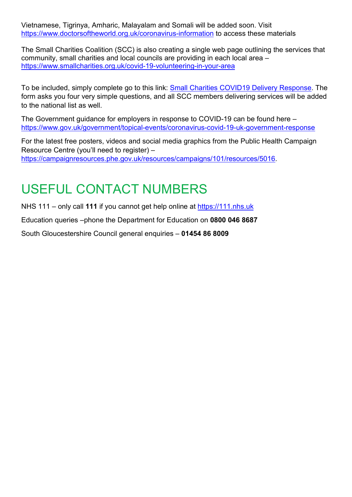Vietnamese, Tigrinya, Amharic, Malayalam and Somali will be added soon. Visit https://www.doctorsoftheworld.org.uk/coronavirus-information to access these materials

The Small Charities Coalition (SCC) is also creating a single web page outlining the services that community, small charities and local councils are providing in each local area – https://www.smallcharities.org.uk/covid-19-volunteering-in-your-area

To be included, simply complete go to this link: Small Charities COVID19 Delivery Response. The form asks you four very simple questions, and all SCC members delivering services will be added to the national list as well.

The Government guidance for employers in response to COVID-19 can be found here – https://www.gov.uk/government/topical-events/coronavirus-covid-19-uk-government-response

For the latest free posters, videos and social media graphics from the Public Health Campaign Resource Centre (you'll need to register) – https://campaignresources.phe.gov.uk/resources/campaigns/101/resources/5016.

# USEFUL CONTACT NUMBERS

NHS 111 – only call **111** if you cannot get help online at https://111.nhs.uk

Education queries –phone the Department for Education on **0800 046 8687**

South Gloucestershire Council general enquiries – **01454 86 8009**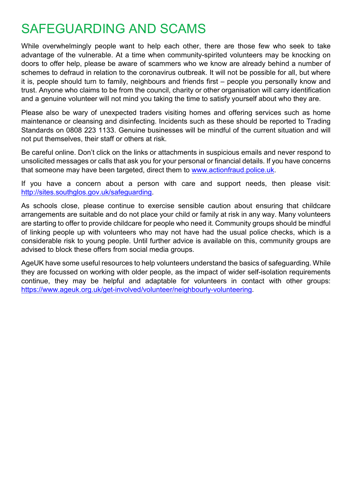### SAFEGUARDING AND SCAMS

While overwhelmingly people want to help each other, there are those few who seek to take advantage of the vulnerable. At a time when community-spirited volunteers may be knocking on doors to offer help, please be aware of scammers who we know are already behind a number of schemes to defraud in relation to the coronavirus outbreak. It will not be possible for all, but where it is, people should turn to family, neighbours and friends first – people you personally know and trust. Anyone who claims to be from the council, charity or other organisation will carry identification and a genuine volunteer will not mind you taking the time to satisfy yourself about who they are.

Please also be wary of unexpected traders visiting homes and offering services such as home maintenance or cleansing and disinfecting. Incidents such as these should be reported to Trading Standards on 0808 223 1133. Genuine businesses will be mindful of the current situation and will not put themselves, their staff or others at risk.

Be careful online. Don't click on the links or attachments in suspicious emails and never respond to unsolicited messages or calls that ask you for your personal or financial details. If you have concerns that someone may have been targeted, direct them to www.actionfraud.police.uk.

If you have a concern about a person with care and support needs, then please visit: http://sites.southglos.gov.uk/safeguarding.

As schools close, please continue to exercise sensible caution about ensuring that childcare arrangements are suitable and do not place your child or family at risk in any way. Many volunteers are starting to offer to provide childcare for people who need it. Community groups should be mindful of linking people up with volunteers who may not have had the usual police checks, which is a considerable risk to young people. Until further advice is available on this, community groups are advised to block these offers from social media groups.

AgeUK have some useful resources to help volunteers understand the basics of safeguarding. While they are focussed on working with older people, as the impact of wider self-isolation requirements continue, they may be helpful and adaptable for volunteers in contact with other groups: https://www.ageuk.org.uk/get-involved/volunteer/neighbourly-volunteering.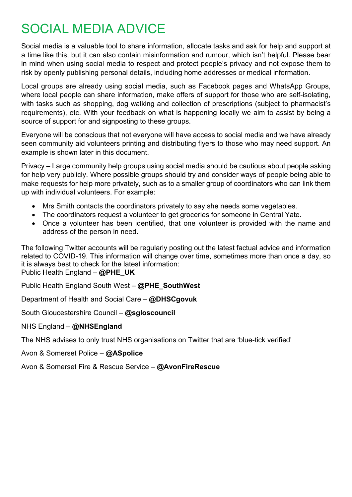### SOCIAL MEDIA ADVICE

Social media is a valuable tool to share information, allocate tasks and ask for help and support at a time like this, but it can also contain misinformation and rumour, which isn't helpful. Please bear in mind when using social media to respect and protect people's privacy and not expose them to risk by openly publishing personal details, including home addresses or medical information.

Local groups are already using social media, such as Facebook pages and WhatsApp Groups, where local people can share information, make offers of support for those who are self-isolating, with tasks such as shopping, dog walking and collection of prescriptions (subject to pharmacist's requirements), etc. With your feedback on what is happening locally we aim to assist by being a source of support for and signposting to these groups.

Everyone will be conscious that not everyone will have access to social media and we have already seen community aid volunteers printing and distributing flyers to those who may need support. An example is shown later in this document.

Privacy – Large community help groups using social media should be cautious about people asking for help very publicly. Where possible groups should try and consider ways of people being able to make requests for help more privately, such as to a smaller group of coordinators who can link them up with individual volunteers. For example:

- Mrs Smith contacts the coordinators privately to say she needs some vegetables.
- The coordinators request a volunteer to get groceries for someone in Central Yate.
- Once a volunteer has been identified, that one volunteer is provided with the name and address of the person in need.

The following Twitter accounts will be regularly posting out the latest factual advice and information related to COVID-19. This information will change over time, sometimes more than once a day, so it is always best to check for the latest information:

Public Health England – **@PHE\_UK**

Public Health England South West – **@PHE\_SouthWest**

Department of Health and Social Care – **@DHSCgovuk**

South Gloucestershire Council – **@sgloscouncil**

NHS England – **@NHSEngland**

The NHS advises to only trust NHS organisations on Twitter that are 'blue-tick verified'

Avon & Somerset Police – **@ASpolice**

Avon & Somerset Fire & Rescue Service – **@AvonFireRescue**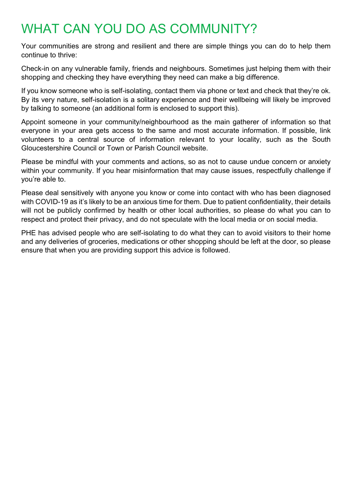### WHAT CAN YOU DO AS COMMUNITY?

Your communities are strong and resilient and there are simple things you can do to help them continue to thrive:

Check-in on any vulnerable family, friends and neighbours. Sometimes just helping them with their shopping and checking they have everything they need can make a big difference.

If you know someone who is self-isolating, contact them via phone or text and check that they're ok. By its very nature, self-isolation is a solitary experience and their wellbeing will likely be improved by talking to someone (an additional form is enclosed to support this).

Appoint someone in your community/neighbourhood as the main gatherer of information so that everyone in your area gets access to the same and most accurate information. If possible, link volunteers to a central source of information relevant to your locality, such as the South Gloucestershire Council or Town or Parish Council website.

Please be mindful with your comments and actions, so as not to cause undue concern or anxiety within your community. If you hear misinformation that may cause issues, respectfully challenge if you're able to.

Please deal sensitively with anyone you know or come into contact with who has been diagnosed with COVID-19 as it's likely to be an anxious time for them. Due to patient confidentiality, their details will not be publicly confirmed by health or other local authorities, so please do what you can to respect and protect their privacy, and do not speculate with the local media or on social media.

PHE has advised people who are self-isolating to do what they can to avoid visitors to their home and any deliveries of groceries, medications or other shopping should be left at the door, so please ensure that when you are providing support this advice is followed.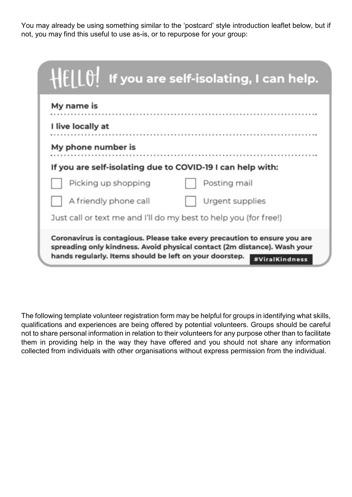You may already be using something similar to the 'postcard' style introduction leaflet below, but if not, you may find this useful to use as-is, or to repurpose for your group:

| HELLO! If you are self-isolating, I can help.                                                                                                                                                                                      |
|------------------------------------------------------------------------------------------------------------------------------------------------------------------------------------------------------------------------------------|
| My name is                                                                                                                                                                                                                         |
| I live locally at                                                                                                                                                                                                                  |
| My phone number is                                                                                                                                                                                                                 |
| If you are self-isolating due to COVID-19 I can help with:                                                                                                                                                                         |
| Picking up shopping<br>Posting mail                                                                                                                                                                                                |
| A friendly phone call<br>Urgent supplies                                                                                                                                                                                           |
| Just call or text me and I'll do my best to help you (for free!)                                                                                                                                                                   |
| Coronavirus is contagious. Please take every precaution to ensure you are<br>spreading only kindness. Avoid physical contact (2m distance). Wash your<br>hands regularly. Items should be left on your doorstep.<br>#ViralKindness |

The following template volunteer registration form may be helpful for groups in identifying what skills, qualifications and experiences are being offered by potential volunteers. Groups should be careful not to share personal information in relation to their volunteers for any purpose other than to facilitate them in providing help in the way they have offered and you should not share any information collected from individuals with other organisations without express permission from the individual.